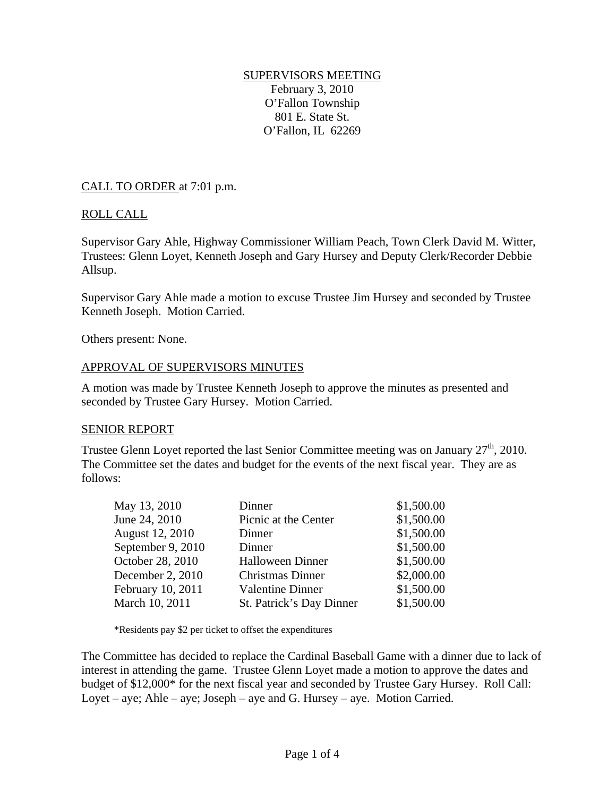#### SUPERVISORS MEETING February 3, 2010 O'Fallon Township 801 E. State St. O'Fallon, IL 62269

#### CALL TO ORDER at 7:01 p.m.

## ROLL CALL

Supervisor Gary Ahle, Highway Commissioner William Peach, Town Clerk David M. Witter, Trustees: Glenn Loyet, Kenneth Joseph and Gary Hursey and Deputy Clerk/Recorder Debbie Allsup.

Supervisor Gary Ahle made a motion to excuse Trustee Jim Hursey and seconded by Trustee Kenneth Joseph. Motion Carried.

Others present: None.

#### APPROVAL OF SUPERVISORS MINUTES

A motion was made by Trustee Kenneth Joseph to approve the minutes as presented and seconded by Trustee Gary Hursey. Motion Carried.

#### SENIOR REPORT

Trustee Glenn Loyet reported the last Senior Committee meeting was on January  $27<sup>th</sup>$ , 2010. The Committee set the dates and budget for the events of the next fiscal year. They are as follows:

| Dinner                   | \$1,500.00 |
|--------------------------|------------|
| Picnic at the Center     | \$1,500.00 |
| Dinner                   | \$1,500.00 |
| Dinner                   | \$1,500.00 |
| <b>Halloween Dinner</b>  | \$1,500.00 |
| <b>Christmas Dinner</b>  | \$2,000.00 |
| <b>Valentine Dinner</b>  | \$1,500.00 |
| St. Patrick's Day Dinner | \$1,500.00 |
|                          |            |

\*Residents pay \$2 per ticket to offset the expenditures

The Committee has decided to replace the Cardinal Baseball Game with a dinner due to lack of interest in attending the game. Trustee Glenn Loyet made a motion to approve the dates and budget of \$12,000\* for the next fiscal year and seconded by Trustee Gary Hursey. Roll Call: Loyet – aye; Ahle – aye; Joseph – aye and G. Hursey – aye. Motion Carried.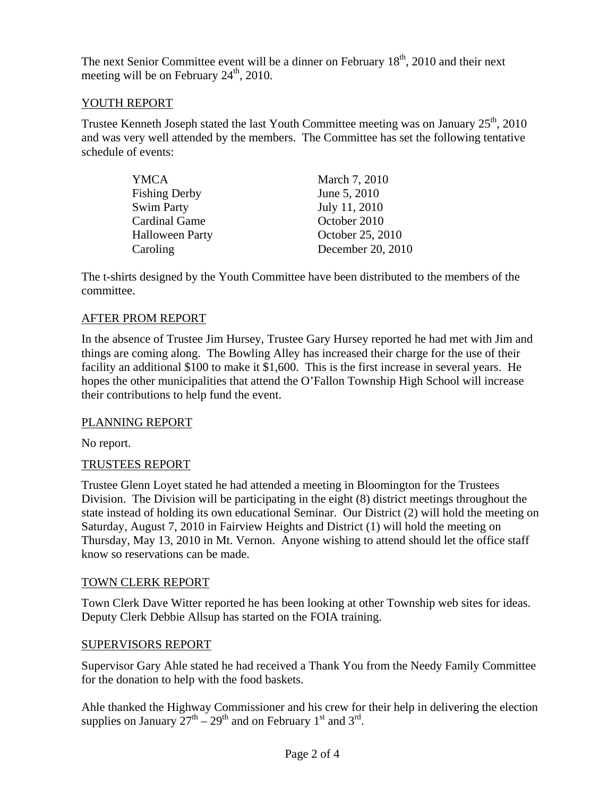The next Senior Committee event will be a dinner on February  $18<sup>th</sup>$ , 2010 and their next meeting will be on February  $24<sup>th</sup>$ , 2010.

# YOUTH REPORT

Trustee Kenneth Joseph stated the last Youth Committee meeting was on January  $25<sup>th</sup>$ , 2010 and was very well attended by the members. The Committee has set the following tentative schedule of events:

| YMCA                   | March 7, 2010     |
|------------------------|-------------------|
| <b>Fishing Derby</b>   | June 5, 2010      |
| <b>Swim Party</b>      | July 11, 2010     |
| <b>Cardinal Game</b>   | October 2010      |
| <b>Halloween Party</b> | October 25, 2010  |
| Caroling               | December 20, 2010 |

The t-shirts designed by the Youth Committee have been distributed to the members of the committee.

## AFTER PROM REPORT

In the absence of Trustee Jim Hursey, Trustee Gary Hursey reported he had met with Jim and things are coming along. The Bowling Alley has increased their charge for the use of their facility an additional \$100 to make it \$1,600. This is the first increase in several years. He hopes the other municipalities that attend the O'Fallon Township High School will increase their contributions to help fund the event.

## PLANNING REPORT

No report.

## TRUSTEES REPORT

Trustee Glenn Loyet stated he had attended a meeting in Bloomington for the Trustees Division. The Division will be participating in the eight (8) district meetings throughout the state instead of holding its own educational Seminar. Our District (2) will hold the meeting on Saturday, August 7, 2010 in Fairview Heights and District (1) will hold the meeting on Thursday, May 13, 2010 in Mt. Vernon. Anyone wishing to attend should let the office staff know so reservations can be made.

## TOWN CLERK REPORT

Town Clerk Dave Witter reported he has been looking at other Township web sites for ideas. Deputy Clerk Debbie Allsup has started on the FOIA training.

#### SUPERVISORS REPORT

Supervisor Gary Ahle stated he had received a Thank You from the Needy Family Committee for the donation to help with the food baskets.

Ahle thanked the Highway Commissioner and his crew for their help in delivering the election supplies on January  $27^{th} - 29^{th}$  and on February 1<sup>st</sup> and 3<sup>rd</sup>.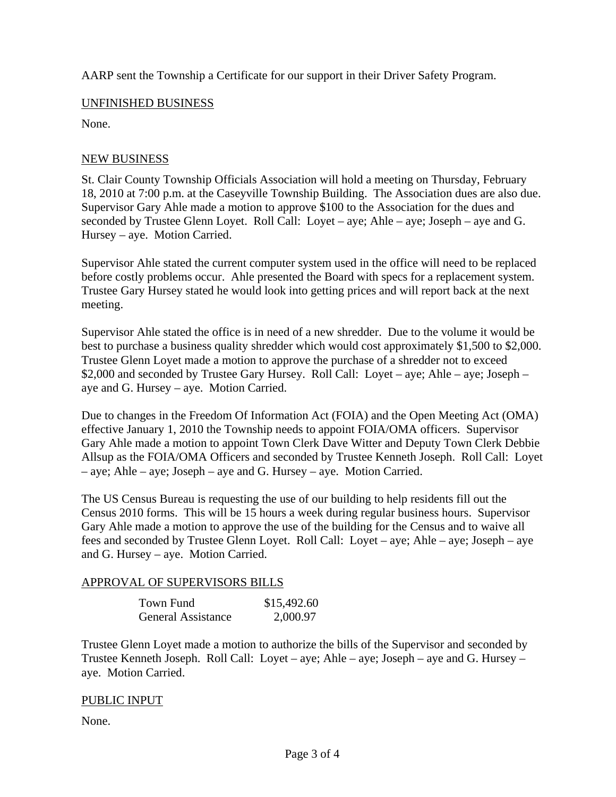AARP sent the Township a Certificate for our support in their Driver Safety Program.

### UNFINISHED BUSINESS

None.

### NEW BUSINESS

St. Clair County Township Officials Association will hold a meeting on Thursday, February 18, 2010 at 7:00 p.m. at the Caseyville Township Building. The Association dues are also due. Supervisor Gary Ahle made a motion to approve \$100 to the Association for the dues and seconded by Trustee Glenn Loyet. Roll Call: Loyet – aye; Ahle – aye; Joseph – aye and G. Hursey – aye. Motion Carried.

Supervisor Ahle stated the current computer system used in the office will need to be replaced before costly problems occur. Ahle presented the Board with specs for a replacement system. Trustee Gary Hursey stated he would look into getting prices and will report back at the next meeting.

Supervisor Ahle stated the office is in need of a new shredder. Due to the volume it would be best to purchase a business quality shredder which would cost approximately \$1,500 to \$2,000. Trustee Glenn Loyet made a motion to approve the purchase of a shredder not to exceed \$2,000 and seconded by Trustee Gary Hursey. Roll Call: Loyet – aye; Ahle – aye; Joseph – aye and G. Hursey – aye. Motion Carried.

Due to changes in the Freedom Of Information Act (FOIA) and the Open Meeting Act (OMA) effective January 1, 2010 the Township needs to appoint FOIA/OMA officers. Supervisor Gary Ahle made a motion to appoint Town Clerk Dave Witter and Deputy Town Clerk Debbie Allsup as the FOIA/OMA Officers and seconded by Trustee Kenneth Joseph. Roll Call: Loyet – aye; Ahle – aye; Joseph – aye and G. Hursey – aye. Motion Carried.

The US Census Bureau is requesting the use of our building to help residents fill out the Census 2010 forms. This will be 15 hours a week during regular business hours. Supervisor Gary Ahle made a motion to approve the use of the building for the Census and to waive all fees and seconded by Trustee Glenn Loyet. Roll Call: Loyet – aye; Ahle – aye; Joseph – aye and G. Hursey – aye. Motion Carried.

#### APPROVAL OF SUPERVISORS BILLS

| Town Fund                 | \$15,492.60 |
|---------------------------|-------------|
| <b>General Assistance</b> | 2,000.97    |

Trustee Glenn Loyet made a motion to authorize the bills of the Supervisor and seconded by Trustee Kenneth Joseph. Roll Call: Loyet – aye; Ahle – aye; Joseph – aye and G. Hursey – aye. Motion Carried.

## PUBLIC INPUT

None.